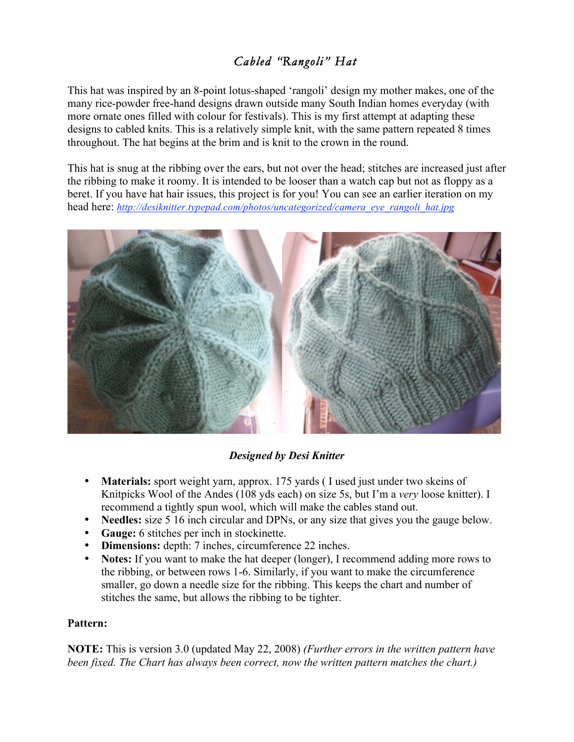## *Cabled "Rangoli" Hat*

This hat was inspired by an 8-point lotus-shaped 'rangoli' design my mother makes, one of the many rice-powder free-hand designs drawn outside many South Indian homes everyday (with more ornate ones filled with colour for festivals). This is my first attempt at adapting these designs to cabled knits. This is a relatively simple knit, with the same pattern repeated 8 times throughout. The hat begins at the brim and is knit to the crown in the round.

This hat is snug at the ribbing over the ears, but not over the head; stitches are increased just after the ribbing to make it roomy. It is intended to be looser than a watch cap but not as floppy as a beret. If you have hat hair issues, this project is for you! You can see an earlier iteration on my head here: http://desiknitter.typepad.com/photos/uncategorized/camera\_eye\_rangoli\_hat.jpg



## *Designed by Desi Knitter*

- **Materials:** sport weight yarn, approx. 175 yards (I used just under two skeins of Knitpicks Wool of the Andes (108 yds each) on size 5s, but I'm a *very* loose knitter). I recommend a tightly spun wool, which will make the cables stand out.
- **Needles:** size 5 16 inch circular and DPNs, or any size that gives you the gauge below.
- **Gauge:** 6 stitches per inch in stockinette.
- **Dimensions:** depth: 7 inches, circumference 22 inches.
- **Notes:** If you want to make the hat deeper (longer), I recommend adding more rows to the ribbing, or between rows 1-6. Similarly, if you want to make the circumference smaller, go down a needle size for the ribbing. This keeps the chart and number of stitches the same, but allows the ribbing to be tighter.

## **Pattern:**

**NOTE:** This is version 3.0 (updated May 22, 2008) *(Further errors in the written pattern have been fixed. The Chart has always been correct, now the written pattern matches the chart.)*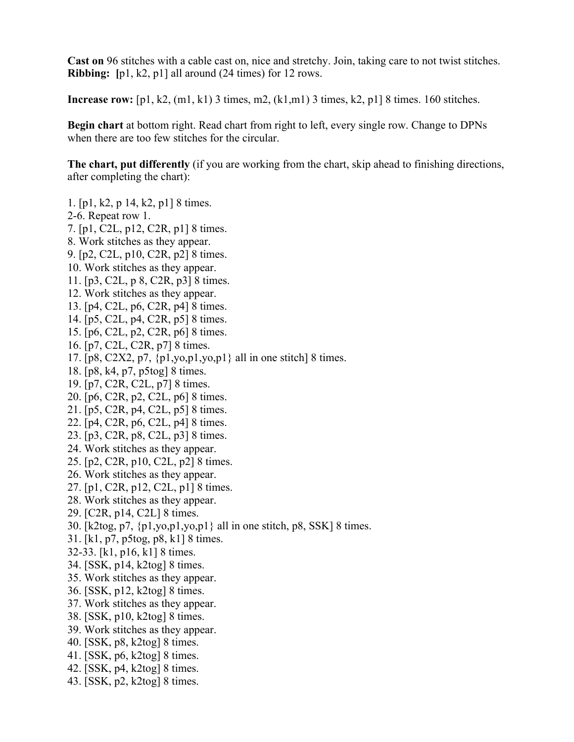**Cast on** 96 stitches with a cable cast on, nice and stretchy. Join, taking care to not twist stitches. **Ribbing:** [p1, k2, p1] all around (24 times) for 12 rows.

**Increase row:** [p1, k2, (m1, k1) 3 times, m2, (k1,m1) 3 times, k2, p1] 8 times. 160 stitches.

**Begin chart** at bottom right. Read chart from right to left, every single row. Change to DPNs when there are too few stitches for the circular.

**The chart, put differently** (if you are working from the chart, skip ahead to finishing directions, after completing the chart):

- 1. [p1, k2, p 14, k2, p1] 8 times.
- 2-6. Repeat row 1.
- 7. [p1, C2L, p12, C2R, p1] 8 times.
- 8. Work stitches as they appear.
- 9. [p2, C2L, p10, C2R, p2] 8 times.
- 10. Work stitches as they appear.
- 11. [p3, C2L, p 8, C2R, p3] 8 times.
- 12. Work stitches as they appear.
- 13. [p4, C2L, p6, C2R, p4] 8 times.
- 14. [p5, C2L, p4, C2R, p5] 8 times.
- 15. [p6, C2L, p2, C2R, p6] 8 times.
- 16. [p7, C2L, C2R, p7] 8 times.
- 17. [p8, C2X2, p7, {p1,yo,p1,yo,p1} all in one stitch] 8 times.
- 18. [p8, k4, p7, p5tog] 8 times.
- 19. [p7, C2R, C2L, p7] 8 times.
- 20. [p6, C2R, p2, C2L, p6] 8 times.
- 21. [p5, C2R, p4, C2L, p5] 8 times.
- 22. [p4, C2R, p6, C2L, p4] 8 times.
- 23. [p3, C2R, p8, C2L, p3] 8 times.
- 24. Work stitches as they appear.
- 25. [p2, C2R, p10, C2L, p2] 8 times.
- 26. Work stitches as they appear.
- 27. [p1, C2R, p12, C2L, p1] 8 times.
- 28. Work stitches as they appear.
- 29. [C2R, p14, C2L] 8 times.
- 30.  $[k2tog, p7, {p1,yo,p1,yo,p1}$  all in one stitch, p8, SSK 8 times.
- 31. [k1, p7, p5tog, p8, k1] 8 times.
- 32-33. [k1, p16, k1] 8 times.
- 34. [SSK, p14, k2tog] 8 times.
- 35. Work stitches as they appear.
- 36. [SSK, p12, k2tog] 8 times.
- 37. Work stitches as they appear.
- 38. [SSK, p10, k2tog] 8 times.
- 39. Work stitches as they appear.
- 40. [SSK, p8, k2tog] 8 times.
- 41. [SSK, p6, k2tog] 8 times.
- 42. [SSK, p4, k2tog] 8 times.
- 43. [SSK, p2, k2tog] 8 times.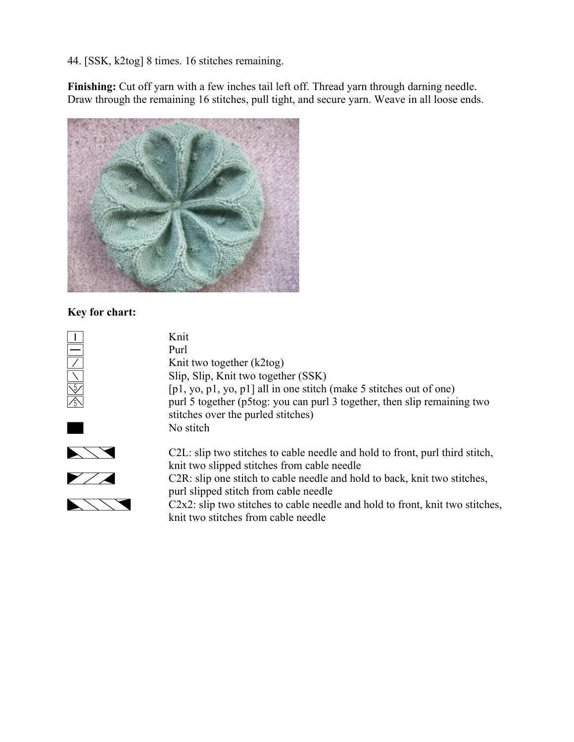44. [SSK, k2tog] 8 times. 16 stitches remaining.

Finishing: Cut off yarn with a few inches tail left off. Thread yarn through darning needle. Draw through the remaining 16 stitches, pull tight, and secure yarn. Weave in all loose ends.



## **Key for chart:**

|                       | Knit                                                                     |
|-----------------------|--------------------------------------------------------------------------|
|                       | Purl                                                                     |
|                       | Knit two together (k2tog)                                                |
|                       | Slip, Slip, Knit two together (SSK)                                      |
| $\overline{\sqrt{2}}$ | $[p1, yo, p1, yo, p1]$ all in one stitch (make 5 stitches out of one)    |
| 个                     | purl 5 together (p5tog: you can purl 3 together, then slip remaining two |
|                       | stitches over the purled stitches)                                       |
|                       | No stitch                                                                |



C2L: slip two stitches to cable needle and hold to front, purl third stitch, knit two slipped stitches from cable needle C2R: slip one stitch to cable needle and hold to back, knit two stitches, purl slipped stitch from cable needle C2x2: slip two stitches to cable needle and hold to front, knit two stitches, knit two stitches from cable needle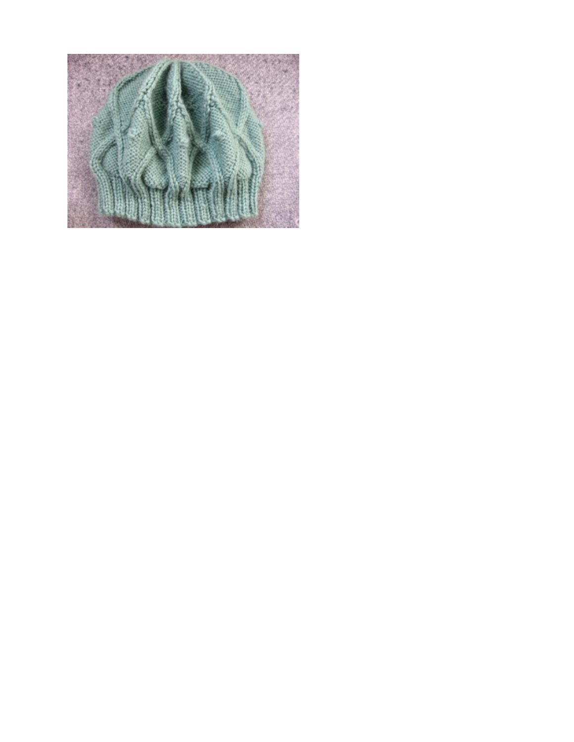